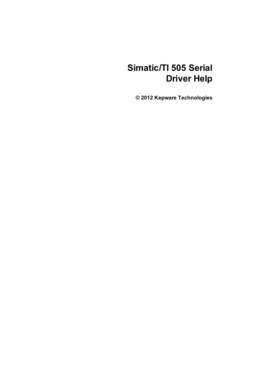# **Simatic/TI 505 Serial Driver Help**

**© 2012 Kepware Technologies**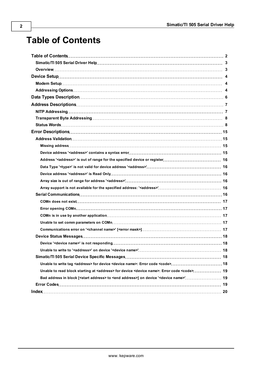# <span id="page-1-0"></span>**Table of Contents**

| Unable to write tag <address> for device <device name="">: Error code <code> 18</code></device></address>              |  |
|------------------------------------------------------------------------------------------------------------------------|--|
| Unable to read block starting at <address> for device <device name="">: Error code <code> 19</code></device></address> |  |
|                                                                                                                        |  |
|                                                                                                                        |  |
|                                                                                                                        |  |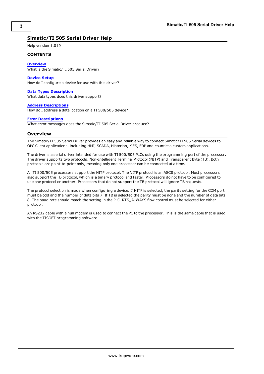#### <span id="page-2-0"></span>**Simatic/TI 505 Serial Driver Help**

Help version 1.019

#### **CONTENTS**

**[Overview](#page-2-1)**

What is the Simatic/TI 505 Serial Driver?

**[Device](#page-3-0) [Setup](#page-3-0)**

How do I configure a device for use with this driver?

#### **[Data](#page-5-0) [Types](#page-5-0) [Description](#page-5-0)**

What data types does this driver support?

#### **[Address](#page-6-0) [Descriptions](#page-6-0)**

How do I address a data location on a TI 500/505 device?

#### **[Error](#page-14-0) [Descriptions](#page-14-0)**

<span id="page-2-1"></span>What error messages does the Simatic/TI 505 Serial Driver produce?

#### **Overview**

The Simatic/TI 505 Serial Driver provides an easy and reliable way to connect Simatic/TI 505 Serial devices to OPC Client applications, including HMI, SCADA, Historian, MES, ERP and countless custom applications.

The driver is a serial driver intended for use with TI 500/505 PLCs using the programming port of the processor. The driver supports two protocols, Non-Intelligent Terminal Protocol (NITP) and Transparent Byte (TB). Both protocols are point-to-point only, meaning only one processor can be connected at a time.

All TI 500/505 processors support the NITP protocol. The NITP protocol is an ASCII protocol. Most processors also support the TB protocol, which is a binary protocol and faster. Processors do not have to be configured to use one protocol or another. Processors that do not support the TB protocol will ignore TB requests.

The protocol selection is made when configuring a device. If NITP is selected, the parity setting for the COM port must be odd and the number of data bits 7. If TB is selected the parity must be none and the number of data bits 8. The baud rate should match the setting in the PLC. RTS\_ALWAYS flow control must be selected for either protocol.

An RS232 cable with a null modem is used to connect the PC to the processor. This is the same cable that is used with the TISOFT programming software.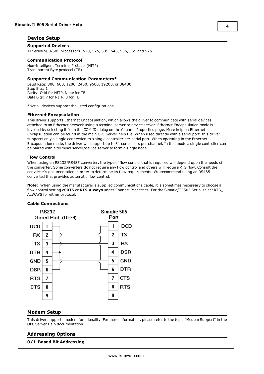#### <span id="page-3-0"></span>**Device Setup**

#### **Supported Devices**

TI Series 500/505 processors: 520, 525, 535, 545, 555, 565 and 575.

#### **Communication Protocol**

Non-Intelligent Terminal Protocol (NITP) Transparent Byte protocol (TB)

#### **Supported Communication Parameters\***

Baud Rate: 300, 600, 1200, 2400, 9600, 19200, or 38400 Stop Bits: 1 Parity: Odd for NITP, None for TB Data Bits: 7 for NITP, 8 for TB

\*Not all devices support the listed configurations.

#### <span id="page-3-3"></span>**Ethernet Encapsulation**

This driver supports Ethernet Encapsulation, which allows the driver to communicate with serial devices attached to an Ethernet network using a terminal server or device server. Ethernet Encapsulation mode is invoked by selecting it from the COM ID dialog on the Channel Properties page. More help on Ethernet Encapsulation can be found in the main OPC Server help file. When used directly with a serial port, this driver supports only a single connection to a single controller per serial port. When operating in the Ethernet Encapsulation mode, the driver will support up to 31 controllers per channel. In this mode a single controller can be paired with a terminal server/device server to form a single node.

#### **Flow Control**

When using an RS232/RS485 converter, the type of flow control that is required will depend upon the needs of the converter. Some converters do not require any flow control and others will require RTS flow. Consult the converter's documentation in order to determine its flow requirements. We recommend using an RS485 converted that provides automatic flow control.

**Note:** When using the manufacturer's supplied communications cable, it is sometimes necessary to choose a flow control setting of **RTS** or **RTS Always** under Channel Properties. For the Simatic/TI 505 Serial select RTS\_ ALWAYS for either protocol.

#### **Cable Connections**



#### <span id="page-3-1"></span>**Modem Setup**

This driver supports modem functionality. For more information, please refer to the topic "Modem Support" in the OPC Server Help documentation.

#### <span id="page-3-2"></span>**Addressing Options**

#### **0/1-Based Bit Addressing**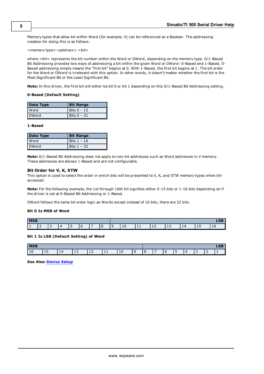Memory types that allow bit within Word (for example, V) can be referenced as a Boolean. The addressing notation for doing this is as follows:

*<memory type><address>.<bit>*

where <bit> represents the bit number within the Word or DWord, depending on the memory type. 0/1-Based Bit Addressing provides two ways of addressing a bit within the given Word or DWord: 0-Based and 1-Based. 0- Based addressing simply means the "first bit" begins at 0. With 1-Based, the first bit begins at 1. The bit order for the Word or DWord is irrelevant with this option. In other words, it doesn't matter whether the first bit is the Most Significant Bit or the Least Significant Bit.

**Note:** In this driver, the first bit will either be bit 0 or bit 1 depending on this 0/1-Based Bit Addressing setting.

#### **0-Based (Default Setting)**

| Data Type    | <b>Bit Range</b> |
|--------------|------------------|
| <b>Word</b>  | Bits $0 - 15$    |
| <b>DWord</b> | Bits $0 - 31$    |

#### **1-Based**

| Data Type    | <b>Bit Range</b> |
|--------------|------------------|
| <b>Word</b>  | Bits $1 - 16$    |
| <b>DWord</b> | Bits $1 - 32$    |

**Note:** 0/1-Based Bit Addressing does not apply to non-bit addresses such as Word addresses in V memory. These addresses are always 1-Based and are not configurable.

#### **Bit Order for V, K, STW**

This option is used to select the order in which bits will be presented to V, K, and STW memory types when bitaccessed.

**Note:** For the following example, the 1st through 16th bit signifies either 0-15 bits or 1-16 bits depending on if the driver is set at 0-Based Bit Addressing or 1-Based.

DWord follows the same bit order logic as Words except instead of 16 bits, there are 32 bits.

#### **Bit 0 Is MSB of Word**

| <b>MSB</b> |        |                          |   |        |   |                          |        |                 |           | <b><i><u>ALCOHOL: 2009</u></i></b><br>-- |    |    |          |    |
|------------|--------|--------------------------|---|--------|---|--------------------------|--------|-----------------|-----------|------------------------------------------|----|----|----------|----|
|            | -<br>- | $\overline{\phantom{0}}$ | ◢ | -<br>۰ | ь | $\overline{\phantom{0}}$ | -<br>O | $\epsilon$<br>ᅶ | <b>++</b> | ᆠ                                        | د⊥ | 14 | -<br>∸ ~ | ΤO |

#### **Bit 1 Is LSB (Default Setting) of Word**

| <b>MSB</b> |         |    |                               |                               |           |    |               |   | .<br>LJ D |                          |   |  |
|------------|---------|----|-------------------------------|-------------------------------|-----------|----|---------------|---|-----------|--------------------------|---|--|
| 16         | -<br>ᅩJ | 14 | $\overline{\phantom{0}}$<br>ᅩ | $\overline{\phantom{a}}$<br>ᆠ | <b>++</b> | τn | $\sim$<br>. . | - |           | $\overline{\phantom{a}}$ | - |  |

**See Also: [Device](#page-3-0) [Setup](#page-3-0)**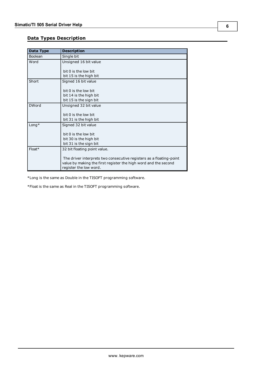### <span id="page-5-0"></span>**Data Types Description**

<span id="page-5-6"></span><span id="page-5-5"></span><span id="page-5-2"></span><span id="page-5-1"></span>

| Data Type    | <b>Description</b>                                                  |
|--------------|---------------------------------------------------------------------|
| Boolean      | Single bit                                                          |
| Word         | Unsigned 16 bit value                                               |
|              |                                                                     |
|              | $bit$ 0 is the low bit                                              |
|              | bit 15 is the high bit                                              |
| Short        | Signed 16 bit value                                                 |
|              |                                                                     |
|              | $bit$ 0 is the low bit                                              |
|              | bit 14 is the high bit                                              |
|              | bit 15 is the sign bit                                              |
| <b>DWord</b> | Unsigned 32 bit value                                               |
|              |                                                                     |
|              | bit 0 is the low bit                                                |
|              | bit 31 is the high bit                                              |
| $Long*$      | Signed 32 bit value                                                 |
|              |                                                                     |
|              | bit 0 is the low bit                                                |
|              | bit 30 is the high bit                                              |
|              | bit 31 is the sign bit                                              |
| $Float*$     | 32 bit floating point value.                                        |
|              |                                                                     |
|              | The driver interprets two consecutive registers as a floating-point |
|              | value by making the first register the high word and the second     |
|              | register the low word.                                              |

<span id="page-5-4"></span><span id="page-5-3"></span>\*Long is the same as Double in the TISOFT programming software.

\*Float is the same as Real in the TISOFT programming software.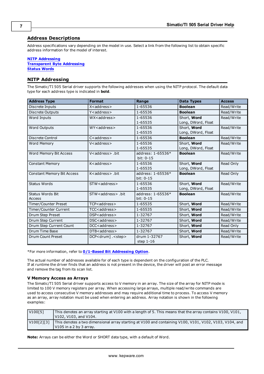#### <span id="page-6-0"></span>**Address Descriptions**

Address specifications vary depending on the model in use. Select a link from the following list to obtain specific address information for the model of interest.

#### **[NITP](#page-6-1) [Addressing](#page-6-1)**

**[Transparent](#page-7-0) [Byte](#page-7-0) [Addressing](#page-7-0) [Status](#page-7-1) [Words](#page-7-1)**

#### <span id="page-6-1"></span>**NITP Addressing**

The Simatic/TI 505 Serial driver supports the following addresses when using the NITP protocol. The default data type for each address type is indicated in **bold**.

| <b>Address Type</b>               | <b>Format</b>                 | Range                          | <b>Data Types</b>                 | <b>Access</b> |
|-----------------------------------|-------------------------------|--------------------------------|-----------------------------------|---------------|
| Discrete Inputs                   | X <address></address>         | 1-65536                        | <b>Boolean</b>                    | Read/Write    |
| Discrete Outputs                  | Y <address></address>         | 1-65536                        | <b>Boolean</b>                    | Read/Write    |
| Word Inputs                       | WX <address></address>        | 1-65536<br>1-65535             | Short, Word<br>Long, DWord, Float | Read/Write    |
| <b>Word Outputs</b>               | WY <address></address>        | 1-65536<br>1-65535             | Short, Word<br>Long, DWord, Float | Read/Write    |
| Discrete Control                  | $C$ <address></address>       | 1-65536                        | <b>Boolean</b>                    | Read/Write    |
| Word Memory                       | V <address></address>         | 1-65536<br>1-65535             | Short, Word<br>Long, DWord, Float | Read/Write    |
| Word Memory Bit Access            | V <address>.bit</address>     | address: 1-65536*<br>bit: 0-15 | <b>Boolean</b>                    | Read/Write    |
| <b>Constant Memory</b>            | K <address></address>         | 1-65536<br>1-65535             | Short, Word<br>Long, DWord, Float | Read Only     |
| <b>Constant Memory Bit Access</b> | K <address>.bit</address>     | address: 1-65536*<br>bit: 0-15 | <b>Boolean</b>                    | Read Only     |
| <b>Status Words</b>               | STW <address></address>       | 1-65536<br>1-65535             | Short, Word<br>Long, DWord, Float | Read/Write    |
| Status Words Bit<br>Access        | STW <address> .bit</address>  | address: 1-65536*<br>bit: 0-15 | <b>Boolean</b>                    | Read/Write    |
| Timer/Counter Preset              | TCP <address></address>       | 1-65535                        | Short, Word                       | Read/Write    |
| Timer/Counter Current             | TCC <address></address>       | 1-65535                        | Short, Word                       | Read/Write    |
| Drum Step Preset                  | DSP <address></address>       | 1-32767                        | Short, Word                       | Read/Write    |
| Drum Step Current                 | DSC <address></address>       | 1-32767                        | Short, Word                       | Read/Write    |
| Drum Step Current Count           | DCC <address></address>       | 1-32767                        | Short, Word                       | Read Only     |
| Drum Time Base                    | DTB <address></address>       | 1-32767                        | Short, Word                       | Read/Write    |
| Drum Count Preset                 | DCP <drum] .<step=""></drum]> | drum 1-32767<br>step $1-16$    | Short, Word                       | Read/Write    |

\*For more information, refer to **[0/1-Based](#page-3-2) [Bit](#page-3-2) [Addressing](#page-3-2) [Option](#page-3-2)**.

The actual number of addresses available for of each type is dependent on the configuration of the PLC. If at runtime the driver finds that an address is not present in the device, the driver will post an error message and remove the tag from its scan list.

#### **V Memory Access as Arrays**

The Simatic/TI 505 Serial driver supports access to V memory in an array. The size of the array for NITP mode is limited to 100 V memory registers per array. When accessing large arrays, multiple read/write commands are used to access consecutive V memory addresses and may require additional time to process. To access V memory as an array, array notation must be used when entering an address. Array notation is shown in the following examples:

| V <sub>100</sub> [5] | This denotes an array starting at V100 with a length of 5. This means that the array contains V100, V101,<br>V102, V103, and V104. |
|----------------------|------------------------------------------------------------------------------------------------------------------------------------|
| V100[2][3]           | This denotes a two dimensional array starting at V100 and containing V100, V101, V102, V103, V104, and<br>V105 in a 2 by 3 array.  |

**Note:** Arrays can be either the Word or SHORT data type, with a default of Word.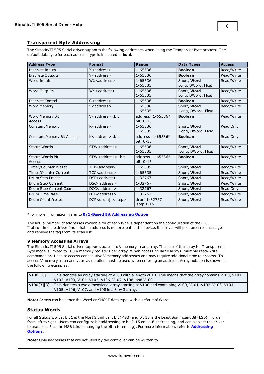#### <span id="page-7-0"></span>**Transparent Byte Addressing**

The Simatic/TI 505 Serial driver supports the following addresses when using the Tranparent Byte protocol. The default data type for each address type is indicated in **bold**.

| <b>Address Type</b>               | <b>Format</b>                   | Range                          | <b>Data Types</b>                 | <b>Access</b> |
|-----------------------------------|---------------------------------|--------------------------------|-----------------------------------|---------------|
| Discrete Inputs                   | X <address></address>           | 1-65536                        | <b>Boolean</b>                    | Read/Write    |
| Discrete Outputs                  | Y <address></address>           | 1-65536                        | <b>Boolean</b>                    | Read/Write    |
| Word Inputs                       | WX <address></address>          | 1-65536<br>1-65535             | Short, Word<br>Long, DWord, Float | Read/Write    |
| <b>Word Outputs</b>               | WY <address></address>          | 1-65536<br>1-65535             | Short, Word<br>Long, DWord, Float | Read/Write    |
| Discrete Control                  | C <address></address>           | 1-65536                        | <b>Boolean</b>                    | Read/Write    |
| <b>Word Memory</b>                | V <address></address>           | 1-65536<br>1-65535             | Short, Word<br>Long, DWord, Float | Read/Write    |
| Word Memory Bit<br><b>Access</b>  | V <address>.bit</address>       | address: 1-65536*<br>bit: 0-15 | <b>Boolean</b>                    | Read/Write    |
| <b>Constant Memory</b>            | K <address></address>           | 1-65536<br>1-65535             | Short, Word<br>Long, DWord, Float | Read Only     |
| <b>Constant Memory Bit Access</b> | K <address>.bit</address>       | address: 1-65536*<br>bit: 0-15 | <b>Boolean</b>                    | Read Only     |
| Status Words                      | STW <address></address>         | 1-65536<br>1-65535             | Short, Word<br>Long, DWord, Float | Read/Write    |
| Status Words Bit<br><b>Access</b> | STW <address>.bit</address>     | address: 1-65536*<br>bit: 0-15 | <b>Boolean</b>                    | Read/Write    |
| Timer/Counter Preset              | TCP <address></address>         | 1-65535                        | Short, Word                       | Read/Write    |
| Timer/Counter Current             | TCC <address></address>         | 1-65535                        | Short, Word                       | Read/Write    |
| Drum Step Preset                  | DSP <address></address>         | 1-32767                        | Short, Word                       | Read/Write    |
| Drum Step Current                 | DSC <address></address>         | 1-32767                        | Short, Word                       | Read/Write    |
| Drum Step Current Count           | DCC <address></address>         | 1-32767                        | Short, Word                       | Read Only     |
| Drum Time Base                    | DTB <address></address>         | 1-32767                        | Short, Word                       | Read/Write    |
| Drum Count Preset                 | DCP <drum].<step></drum].<step> | drum 1-32767<br>step $1-16$    | Short, Word                       | Read/Write    |

\*For more information, refer to **[0/1-Based](#page-3-2) [Bit](#page-3-2) [Addressing](#page-3-2) [Option](#page-3-2)**.

The actual number of addresses available for of each type is dependent on the configuration of the PLC. If at runtime the driver finds that an address is not present in the device, the driver will post an error message and remove the tag from its scan list.

#### **V Memory Access as Arrays**

The Simatic/TI 505 Serial driver supports access to V memory in an array. The size of the array for Transparent Byte mode is limited to 100 V memory registers per array. When accessing large arrays, multiple read/write commands are used to access consecutive V memory addresses and may require additional time to process. To access V memory as an array, array notation must be used when entering an address. Array notation is shown in the following examples:

| V100[10]   | This denotes an array starting at V100 with a length of 10. This means that the array contains V100, V101,<br>V102, V103, V104, V105, V106, V107, V108, and V109. |
|------------|-------------------------------------------------------------------------------------------------------------------------------------------------------------------|
| V100[3][3] | This denotes a two dimensional array starting at V100 and containing V100, V101, V102, V103, V104,<br>V105, V106, V107, and V108 in a 3 by 3 array.               |

<span id="page-7-1"></span>**Note:** Arrays can be either the Word or SHORT data type, with a default of Word.

#### **Status Words**

For all Status Words, Bit 1 is the Most Significant Bit (MSB) and Bit 16 is the Least Significant Bit (LSB) in order from left to right. Users can configure bit addressing to be 0-15 or 1-16 addressing, and can also set the driver to use 1 or 15 as the MSB (thus changing the bit referencing). For more information, refer to **[Addressing](#page-3-2) [Options](#page-3-2)**.

**Note:** Only addresses that are not used by the controller can be written to.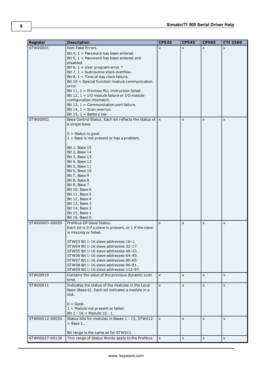| <b>Register</b> | <b>Description</b>                                                             | <b>CP525</b> | <b>CP545</b> | <b>CP565</b>   | <b>CTI 2500</b> |
|-----------------|--------------------------------------------------------------------------------|--------------|--------------|----------------|-----------------|
| STW00001        | Non-Fatal Errors.                                                              | X            | x            | X              | $\pmb{\times}$  |
|                 | Bit 4, $1 =$ Password has been entered.                                        |              |              |                |                 |
|                 | Bit 5, $1 =$ Password has been entered and                                     |              |              |                |                 |
|                 | disabled.                                                                      |              |              |                |                 |
|                 | Bit 6, $1 =$ User program error.*<br>Bit 7, $1 =$ Subroutine stack overflow.   |              |              |                |                 |
|                 | Bit 8, $1 =$ Time of day clock failure.                                        |              |              |                |                 |
|                 | Bit 10 = Special function module communication                                 |              |              |                |                 |
|                 | error.                                                                         |              |              |                |                 |
|                 | Bit 11, $1$ = Previous RLL instruction failed.                                 |              |              |                |                 |
|                 | Bit 12, $1 = I/O$ module failure or I/O module                                 |              |              |                |                 |
|                 | configuration mismatch.<br>Bit 13, $1 =$ Communication port failure.           |              |              |                |                 |
|                 | Bit 14, $1 =$ Scan overrun.                                                    |              |              |                |                 |
|                 | Bit 15, $1 =$ Battery low.                                                     |              |              |                |                 |
| STW00002        | Base Control Status. Each bit reflects the status of $\vert x \vert$           |              | X            | X              | $\pmb{\times}$  |
|                 | a single base.                                                                 |              |              |                |                 |
|                 |                                                                                |              |              |                |                 |
|                 | $0 =$ Status is good.<br>$1 =$ Base is not present or has a problem.           |              |              |                |                 |
|                 |                                                                                |              |              |                |                 |
|                 | Bit 1, Base 15                                                                 |              |              |                |                 |
|                 | Bit 2, Base 14                                                                 |              |              |                |                 |
|                 | Bit 3, Base 13                                                                 |              |              |                |                 |
|                 | Bit 4, Base 12                                                                 |              |              |                |                 |
|                 | Bit 5, Base 11<br>Bit 6, Base 10                                               |              |              |                |                 |
|                 | Bit 7, Base 9                                                                  |              |              |                |                 |
|                 | Bit 8, Base 8                                                                  |              |              |                |                 |
|                 | Bit 9, Base 7                                                                  |              |              |                |                 |
|                 | Bit 10, Base 6                                                                 |              |              |                |                 |
|                 | Bit 11, Base 5<br>Bit 12, Base 4                                               |              |              |                |                 |
|                 | Bit 13, Base 3                                                                 |              |              |                |                 |
|                 | Bit 14, Base 2                                                                 |              |              |                |                 |
|                 | Bit 15, Base 1                                                                 |              |              |                |                 |
|                 | Bit 16, Base 0                                                                 |              |              |                |                 |
| STW00003-00009  | Profibus DP Slave Status.                                                      | X            | X            | $\pmb{\times}$ | X               |
|                 | Each bit is 0 if a slave is present, or 1 if the slave                         |              |              |                |                 |
|                 | is missing or failed.                                                          |              |              |                |                 |
|                 | STW03 Bit 1-16 slave addresses 16-1.                                           |              |              |                |                 |
|                 | STW04 Bit 1-16 slave addresses 32-17.                                          |              |              |                |                 |
|                 | STW05 Bit 1-16 slave addresses 48-33.                                          |              |              |                |                 |
|                 | STW06 Bit 1-16 slave addresses 64-49.                                          |              |              |                |                 |
|                 | STW07 Bit 1-16 slave addresses 80-65.<br>STW08 Bit 1-16 slave addresses 96-81. |              |              |                |                 |
|                 | STW09 Bit 1-16 slave addresses 112-97.                                         |              |              |                |                 |
| STW00010        | Contains the value of the previous dynamic scan                                | X            | X            | X              | $\mathsf{x}$    |
|                 | time.                                                                          |              |              |                |                 |
| STW00011        | Indicates the status of the modules in the Local                               | $\mathsf{x}$ | X            | X              | $\pmb{\times}$  |
|                 | Base (Base 0). Each bit indicates a module in a                                |              |              |                |                 |
|                 | slot.                                                                          |              |              |                |                 |
|                 | $0 = Good.$                                                                    |              |              |                |                 |
|                 | $1 =$ Module not present or failed.                                            |              |              |                |                 |
|                 | Bit $1 - 16 =$ Module $16 - 1$ .                                               |              |              |                |                 |
| STW00012-00026  | Status bits for modules in Bases 1 - 15, STW012                                | $\mathsf{x}$ | X            | X              | $\pmb{\times}$  |
|                 | $=$ Base 1                                                                     |              |              |                |                 |
|                 |                                                                                |              |              |                |                 |
|                 | Bit range is the same as for STW011.                                           |              |              |                |                 |
| STW00027-00138  | This range of Status Words apply to the Profibus                               | X            | X            | X              | X               |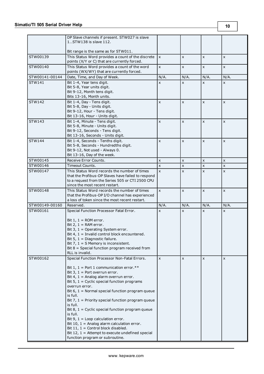|                | DP Slave channels if present. STW027 is slave<br>1STW138 is slave 112.                                                                                                                                                                                                                                                                                                                                                                                                                                                                                                                                                                                                          |                |                |                |                |
|----------------|---------------------------------------------------------------------------------------------------------------------------------------------------------------------------------------------------------------------------------------------------------------------------------------------------------------------------------------------------------------------------------------------------------------------------------------------------------------------------------------------------------------------------------------------------------------------------------------------------------------------------------------------------------------------------------|----------------|----------------|----------------|----------------|
|                | Bit range is the same as for STW011.                                                                                                                                                                                                                                                                                                                                                                                                                                                                                                                                                                                                                                            |                |                |                |                |
| STW00139       | This Status Word provides a count of the discrete<br>points (X/Y or C) that are currently forced.                                                                                                                                                                                                                                                                                                                                                                                                                                                                                                                                                                               | X              | x              | X              | X              |
| STW00140       | This Status Word provides a count of the word<br>points (WX/WY) that are currently forced.                                                                                                                                                                                                                                                                                                                                                                                                                                                                                                                                                                                      | X              | $\mathsf{x}$   | $\pmb{\times}$ | $\pmb{\times}$ |
| STW00141-00144 | Date, Time, and Day of Week.                                                                                                                                                                                                                                                                                                                                                                                                                                                                                                                                                                                                                                                    | $N/A$ .        | N/A.           | N/A.           | $N/A$ .        |
| STW141         | Bit 1-4, Year tens digit.<br>Bit 5-8, Year units digit.<br>Bit 9-12, Month tens digit.<br>Bits 13-16, Month units.                                                                                                                                                                                                                                                                                                                                                                                                                                                                                                                                                              | $\pmb{\times}$ | X              | X              | $\pmb{\times}$ |
| STW142         | Bit 1-4, Day - Tens digit.<br>Bit 5-8, Day - Units digit.<br>Bit 9-12, Hour - Tens digit.<br>Bit 13-16, Hour - Units digit.                                                                                                                                                                                                                                                                                                                                                                                                                                                                                                                                                     | X              | $\pmb{\times}$ | $\pmb{\times}$ | $\pmb{\times}$ |
| STW143         | Bit 1-4, Minute - Tens digit.<br>Bit 5-8, Minute - Units digit.<br>Bit 9-12, Seconds - Tens digit.<br>Bit 13-16, Seconds - Units digit.                                                                                                                                                                                                                                                                                                                                                                                                                                                                                                                                         | X              | $\pmb{\times}$ | $\pmb{\times}$ | $\pmb{\times}$ |
| STW144         | Bit 1-4, Seconds - Tenths digit.<br>Bit 5-8, Seconds - Hundredths digit.<br>Bit 9-12, Not used - Always 0.<br>Bit 13-16, Day of the week.                                                                                                                                                                                                                                                                                                                                                                                                                                                                                                                                       | $\mathsf{x}$   | X              | X              | X              |
| STW00145       | Receive Error Counts.                                                                                                                                                                                                                                                                                                                                                                                                                                                                                                                                                                                                                                                           | $\pmb{\times}$ | x              | $\pmb{\times}$ | $\pmb{\times}$ |
| STW00146       | Timeout Counts.                                                                                                                                                                                                                                                                                                                                                                                                                                                                                                                                                                                                                                                                 | $\pmb{\times}$ | x              | X              | X              |
| STW00147       | This Status Word records the number of times<br>that the Profibus-DP Slaves have failed to respond<br>to a request from the Series 505 or CTI 2500 CPU<br>since the most recent restart.                                                                                                                                                                                                                                                                                                                                                                                                                                                                                        | X              | x              | $\pmb{\times}$ | $\pmb{\times}$ |
| STW00148       | This Status Word records the number of times<br>that the Profibus-DP I/O channel has experienced<br>a loss of token since the most recent restart.                                                                                                                                                                                                                                                                                                                                                                                                                                                                                                                              | $\pmb{\times}$ | $\pmb{\times}$ | $\pmb{\times}$ | $\pmb{\times}$ |
| STW00149-00160 | Reserved.                                                                                                                                                                                                                                                                                                                                                                                                                                                                                                                                                                                                                                                                       | $N/A$ .        | N/A.           | $N/A$ .        | N/A.           |
| STW00161       | Special Function Processor Fatal Error.<br>Bit $1, 1 = ROM error$ .<br>Bit 2, $1 = RAM error$ .<br>Bit 3, $1 =$ Operating System error.<br>Bit 4, 1 = Invalid control block encountered.<br>Bit 5, $1 =$ Diagnostic failure.<br>Bit 7, $1 = S$ Memory is inconsistent.<br>Bit $8 =$ Special function program received from<br>RLL is invalid.                                                                                                                                                                                                                                                                                                                                   | $\mathsf{x}$   | $\mathsf{x}$   | $\mathsf{x}$   | X              |
| STW00162       | Special Function Processor Non-Fatal Errors.<br>Bit 1, 1 = Port 1 communication error. **<br>Bit 3, $1 =$ Port overrun error.<br>Bit 4, $1 =$ Analog alarm overrun error.<br>Bit 5, $1 =$ Cyclic special function programs<br>overrun error.<br>Bit $6, 1$ = Normal special function program queue<br>is full.<br>Bit 7, $1 =$ Priority special function program queue<br>is full.<br>Bit 8, $1 =$ Cyclic special function program queue<br>is full.<br>Bit 9, $1 =$ Loop calculation error.<br>Bit 10, $1 =$ Analog alarm calculation error.<br>Bit 11, $1 =$ Control block disabled.<br>Bit 12, $1 =$ Attempt to execute undefined special<br>function program or subroutine. | X              | X              | X              | $\mathsf{x}$   |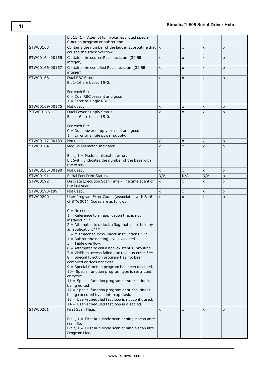|                | Bit 13, $1 =$ Attempt to invoke restricted special<br>function program or subroutine.                                                                                                                                                                                                                                                                                                                                                                                                                                                                                                                                                                                                                                                                                                                                                                                                                                                                     |              |                |                |                |
|----------------|-----------------------------------------------------------------------------------------------------------------------------------------------------------------------------------------------------------------------------------------------------------------------------------------------------------------------------------------------------------------------------------------------------------------------------------------------------------------------------------------------------------------------------------------------------------------------------------------------------------------------------------------------------------------------------------------------------------------------------------------------------------------------------------------------------------------------------------------------------------------------------------------------------------------------------------------------------------|--------------|----------------|----------------|----------------|
| STW00163       | Contains the number of the ladder subroutine that $\mathsf{I} \times$<br>caused the stack overflow.                                                                                                                                                                                                                                                                                                                                                                                                                                                                                                                                                                                                                                                                                                                                                                                                                                                       |              | $\pmb{\times}$ | $\pmb{\times}$ | X              |
| STW00164-00165 | Contains the source RLL checksum (32 Bit<br>integer).                                                                                                                                                                                                                                                                                                                                                                                                                                                                                                                                                                                                                                                                                                                                                                                                                                                                                                     | <b>X</b>     | X              | $\pmb{\times}$ | $\pmb{\times}$ |
| STW00166-00167 | Contains the compiled RLL checksum (32 Bit<br>integer).                                                                                                                                                                                                                                                                                                                                                                                                                                                                                                                                                                                                                                                                                                                                                                                                                                                                                                   | $\mathsf{x}$ | X              | $\pmb{\times}$ | $\pmb{\times}$ |
| STW00168       | Dual RBC Status.<br>Bit 1-16 are bases 15-0.<br>For each Bit:                                                                                                                                                                                                                                                                                                                                                                                                                                                                                                                                                                                                                                                                                                                                                                                                                                                                                             | X            | $\pmb{\times}$ | $\pmb{\times}$ | $\pmb{\times}$ |
|                | $0 =$ Dual RBC present and good.<br>$1 =$ Error or single RBC.                                                                                                                                                                                                                                                                                                                                                                                                                                                                                                                                                                                                                                                                                                                                                                                                                                                                                            |              |                |                |                |
| STW00169-00175 | Not used.                                                                                                                                                                                                                                                                                                                                                                                                                                                                                                                                                                                                                                                                                                                                                                                                                                                                                                                                                 | X            | X              | $\pmb{\times}$ | $\pmb{\times}$ |
| 'STW00176      | Dual Power Supply Status.<br>Bit 1-16 are bases 15-0.<br>For each Bit:<br>$0 =$ Dual power supply present and good.                                                                                                                                                                                                                                                                                                                                                                                                                                                                                                                                                                                                                                                                                                                                                                                                                                       | <b>x</b>     | $\pmb{\times}$ | $\mathsf{x}$   | $\pmb{\times}$ |
|                | $1 =$ Error or single power supply.                                                                                                                                                                                                                                                                                                                                                                                                                                                                                                                                                                                                                                                                                                                                                                                                                                                                                                                       |              |                |                |                |
| STW00177-00183 | Not used.                                                                                                                                                                                                                                                                                                                                                                                                                                                                                                                                                                                                                                                                                                                                                                                                                                                                                                                                                 | X            | X              | $\pmb{\times}$ | $\pmb{\times}$ |
| STW00184       | Module Mismatch Indicator.<br>Bit $1, 1$ = Module mismatch error.<br>Bit $5-8$ = Indicates the number of the base with<br>the error.                                                                                                                                                                                                                                                                                                                                                                                                                                                                                                                                                                                                                                                                                                                                                                                                                      | <b>X</b>     | $\mathsf{x}$   | $\mathsf{x}$   | $\mathsf{x}$   |
| STW00185-00190 | Not used.                                                                                                                                                                                                                                                                                                                                                                                                                                                                                                                                                                                                                                                                                                                                                                                                                                                                                                                                                 | X            | X              | $\pmb{\times}$ | X              |
| STW00191       | Serial Port Print Status.                                                                                                                                                                                                                                                                                                                                                                                                                                                                                                                                                                                                                                                                                                                                                                                                                                                                                                                                 | $N/A$ ,      | $N/A$ .        | N/A.           | X              |
| STW00192       | Discrete Execution Scan Time - The time spent on<br>the last scan.                                                                                                                                                                                                                                                                                                                                                                                                                                                                                                                                                                                                                                                                                                                                                                                                                                                                                        | <b>X</b>     | $\pmb{\times}$ | $\pmb{\times}$ | $\mathsf{x}$   |
| STW00193-199   | Not used.                                                                                                                                                                                                                                                                                                                                                                                                                                                                                                                                                                                                                                                                                                                                                                                                                                                                                                                                                 | X            | X              | $\pmb{\times}$ | $\pmb{\times}$ |
| STW00200       | User Program Error Cause (associated with Bit 6<br>of STW001). Codes are as follows:<br>$0 = No error.$<br>$1 =$ Reference to an application that is not<br>installed.***<br>$2$ = Attempted to unlock a flag that is not held by<br>an application.***<br>3 = Mismatched lock/unlock instructions.***<br>4 = Subroutine nesting level exceeded.<br>$5 =$ Table overflow.<br>$6$ = Attempted to call a non-existent subroutine.<br>$7$ = VMEbus access failed due to a bus error ***<br>$8$ = Special function program has not been<br>compiled or does not exist.<br>$9$ = Special function program has been disabled.<br>10= Special function program type is restricted<br>or cyclic.<br>$11$ = Special function program or subroutine is<br>being edited.<br>12 = Special function program or subroutine is<br>being executed by an interrupt task.<br>13 = User-scheduled fast loop is not configured.<br>14 = User-scheduled fast loop is disabled. | $\mathsf{x}$ | $\mathsf{x}$   | $\mathsf{x}$   | $\mathsf{x}$   |
| STW00201       | First Scan Flags.<br>Bit $1, 1$ = First Run Mode scan or single scan after<br>compile.<br>Bit $2$ , $1 =$ First Run Mode scan or single scan after<br>Program Mode.                                                                                                                                                                                                                                                                                                                                                                                                                                                                                                                                                                                                                                                                                                                                                                                       | X            | X              | $\pmb{\times}$ | X              |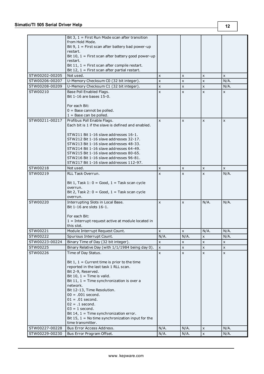|                | Bit $3, 1$ = First Run Mode scan after transition                                       |                |                    |                |                |
|----------------|-----------------------------------------------------------------------------------------|----------------|--------------------|----------------|----------------|
|                | from Hold Mode.                                                                         |                |                    |                |                |
|                | Bit 9, $1 =$ First scan after battery bad power-up<br>restart.                          |                |                    |                |                |
|                | Bit 10, $1 =$ First scan after battery good power-up                                    |                |                    |                |                |
|                | restart.                                                                                |                |                    |                |                |
|                | Bit $11$ , $1$ = First scan after compile restart.                                      |                |                    |                |                |
|                | Bit 12, $1 =$ First scan after partial restart.                                         |                |                    |                |                |
| STW00202-00205 | Not used.                                                                               | X              | X                  | $\pmb{\times}$ | X              |
| STW00206-00207 | U-Memory Checksum C0 (32 bit integer).                                                  | $\pmb{\times}$ | $\pmb{\times}$     | $\pmb{\times}$ | $N/A$ .        |
| STW00208-00209 | U-Memory Checksum C1 (32 bit integer).                                                  | $\pmb{\times}$ | $\pmb{\times}$     | $\pmb{\times}$ | $N/A$ .        |
| STW00210       | Base Poll Enabled Flags.                                                                | $\mathsf{x}$   | $\mathsf{x}$       | $\mathsf{x}$   | $\mathsf{x}$   |
|                | Bit 1-16 are bases 15-0.                                                                |                |                    |                |                |
|                |                                                                                         |                |                    |                |                |
|                | For each Bit:<br>$0 =$ Base cannot be polled.                                           |                |                    |                |                |
|                | $1 =$ Base can be polled.                                                               |                |                    |                |                |
| STW00211-00217 | Profibus Poll Enable Flags.                                                             | $\mathsf{x}$   | X                  | $\pmb{\times}$ | X              |
|                | Each bit is 1 if the slave is defined and enabled.                                      |                |                    |                |                |
|                |                                                                                         |                |                    |                |                |
|                | STW211 Bit 1-16 slave addresses 16-1.                                                   |                |                    |                |                |
|                | STW212 Bit 1-16 slave addresses 32-17.                                                  |                |                    |                |                |
|                | STW213 Bit 1-16 slave addresses 48-33.                                                  |                |                    |                |                |
|                | STW214 Bit 1-16 slave addresses 64-49.<br>STW215 Bit 1-16 slave addresses 80-65.        |                |                    |                |                |
|                | STW216 Bit 1-16 slave addresses 96-81.                                                  |                |                    |                |                |
|                | STW217 Bit 1-16 slave addresses 112-97.                                                 |                |                    |                |                |
| STW00218       | Not used.                                                                               | X              | X                  | $\pmb{\times}$ | X              |
| STW00219       | <b>RLL Task Overrun.</b>                                                                | X              | $\mathsf{x}$       | $\pmb{\times}$ | $N/A$ .        |
|                |                                                                                         |                |                    |                |                |
|                | Bit $1$ , Task $1: 0 = Good$ , $1 = Task$ scan cycle                                    |                |                    |                |                |
|                | overrun.                                                                                |                |                    |                |                |
|                | Bit 2, Task 2: $0 = Good$ , $1 = Task scan cycle$                                       |                |                    |                |                |
|                | overrun.                                                                                |                |                    |                |                |
| STW00220       | Interrupting Slots in Local Base.<br>Bit 1-16 are slots 16-1.                           | x              | X                  | $N/A$ .        | $N/A$ .        |
|                |                                                                                         |                |                    |                |                |
|                | For each Bit:                                                                           |                |                    |                |                |
|                | $1 =$ Interrupt request active at module located in                                     |                |                    |                |                |
|                | this slot.                                                                              |                |                    |                |                |
| STW00221       | Module Interrupt Request Count.                                                         | $\pmb{\times}$ | $\pmb{\times}$     | $N/A$ .        | $N/A$ .        |
| STW00222       | Spurious Interrupt Count.                                                               | N/A.           | N/A.               | $\pmb{\times}$ | N/A.           |
| STW00223-00224 | Binary Time of Day (32 bit integer).                                                    | X              | X                  | X              | X              |
| STW00225       | Binary Relative Day (with 1/1/1984 being day 0).                                        | $\pmb{\times}$ | $\pmb{\mathsf{X}}$ | $\pmb{\times}$ | $\pmb{\times}$ |
| STW00226       | Time of Day Status.                                                                     | $\mathsf{x}$   | $\pmb{\times}$     | $\pmb{\times}$ | X              |
|                |                                                                                         |                |                    |                |                |
|                | Bit $1, 1$ = Current time is prior to the time<br>reported in the last task 1 RLL scan. |                |                    |                |                |
|                | Bit 2-9, Reserved.                                                                      |                |                    |                |                |
|                | Bit 10, $1 =$ Time is valid.                                                            |                |                    |                |                |
|                | Bit $11$ , $1 =$ Time synchronization is over a                                         |                |                    |                |                |
|                | network.                                                                                |                |                    |                |                |
|                | Bit 12-13, Time Resolution.                                                             |                |                    |                |                |
|                | $00 = .001$ second.                                                                     |                |                    |                |                |
|                | $01 = .01$ second.                                                                      |                |                    |                |                |
|                | $02 = .1$ second.                                                                       |                |                    |                |                |
|                | $03 = 1$ second.<br>Bit 14, $1 =$ Time synchronization error.                           |                |                    |                |                |
|                | Bit $15$ , $1 =$ No time synchronization input for the                                  |                |                    |                |                |
|                | time transmitter.                                                                       |                |                    |                |                |
| STW00227-00228 | Bus Error Access Address.                                                               | N/A.           | N/A.               | $\pmb{\times}$ | N/A.           |
| STW00229-00230 | Bus Error Program Offset.                                                               | N/A.           | N/A.               | $\mathsf{x}$   | $N/A$ .        |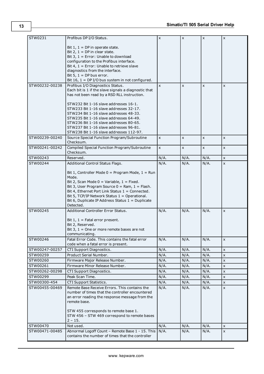| STW0231        | Profibus DP I/O Status.                                                                          | $\pmb{\times}$ | $\pmb{\times}$ | X              | $\pmb{\times}$     |
|----------------|--------------------------------------------------------------------------------------------------|----------------|----------------|----------------|--------------------|
|                | Bit $1, 1 = DP$ in operate state.                                                                |                |                |                |                    |
|                | Bit 2, $1 = DP$ in clear state.                                                                  |                |                |                |                    |
|                | Bit 3, $1 =$ Error: Unable to download                                                           |                |                |                |                    |
|                | configuration to the Profibus interface.                                                         |                |                |                |                    |
|                | Bit 4, $1 =$ Error: Unable to retrieve slave                                                     |                |                |                |                    |
|                | diagnostics from the interface.                                                                  |                |                |                |                    |
|                | Bit 5, $1 = DP$ bus error.                                                                       |                |                |                |                    |
|                | Bit 16, $1 = DP I/O$ bus system in not configured.                                               |                |                |                |                    |
| STW00232-00238 | Profibus I/O Diagnostics Status.                                                                 | X              | X              | $\pmb{\times}$ | X                  |
|                | Each bit is 1 if the slave signals a diagnostic that                                             |                |                |                |                    |
|                | has not been read by a RSD RLL instruction.                                                      |                |                |                |                    |
|                | STW232 Bit 1-16 slave addresses 16-1.                                                            |                |                |                |                    |
|                | STW233 Bit 1-16 slave addresses 32-17.                                                           |                |                |                |                    |
|                | STW234 Bit 1-16 slave addresses 48-33.                                                           |                |                |                |                    |
|                | STW235 Bit 1-16 slave addresses 64-49.                                                           |                |                |                |                    |
|                | STW236 Bit 1-16 slave addresses 80-65.                                                           |                |                |                |                    |
|                | STW237 Bit 1-16 slave addresses 96-81.                                                           |                |                |                |                    |
|                | STW238 Bit 1-16 slave addresses 112-97.                                                          |                |                |                |                    |
| STW00239-00240 | Source Special Function Program/Subroutine                                                       | X              | $\pmb{\times}$ | $\pmb{\times}$ | $\pmb{\times}$     |
|                | Checksum.                                                                                        |                |                |                |                    |
| STW00241-00242 | Compiled Special Function Program/Subroutine<br>Checksum.                                        | $\mathsf{x}$   | x              | $\pmb{\times}$ | X                  |
| STW00243       | Reserved.                                                                                        | N/A.           | N/A.           | $N/A$ .        | $\pmb{\times}$     |
| STW00244       | Additional Control Status Flags.                                                                 | $N/A$ .        | N/A.           | N/A.           | $\mathsf{x}$       |
|                |                                                                                                  |                |                |                |                    |
|                | Bit 1, Controller Mode $0 = Program Mode$ , 1 = Run                                              |                |                |                |                    |
|                | Mode.                                                                                            |                |                |                |                    |
|                | Bit 2, Scan Mode $0 =$ Variable, $1 =$ Fixed.                                                    |                |                |                |                    |
|                | Bit 3, User Program Source $0 =$ Ram, $1 =$ Flash.                                               |                |                |                |                    |
|                | Bit 4, Ethernet Port Link Status $1 =$ Connected.                                                |                |                |                |                    |
|                | Bit 5, TCP/IP Network Status $1 =$ Operational.                                                  |                |                |                |                    |
|                | Bit 6, Duplicate IP Address Status $1 =$ Duplicate                                               |                |                |                |                    |
|                | Detected.                                                                                        |                |                |                |                    |
| STW00245       | Additional Controller Error Status.                                                              | N/A.           | $N/A$ .        | N/A.           | X                  |
|                | Bit $1, 1$ = Fatal error present.                                                                |                |                |                |                    |
|                | Bit 2, Reserved.                                                                                 |                |                |                |                    |
|                | Bit 3, $1 =$ One or more remote bases are not                                                    |                |                |                |                    |
|                | communicating.                                                                                   |                |                |                |                    |
| STW00246       | Fatal Error Code. This contains the fatal error                                                  | N/A.           | N/A.           | N/A.           | $\pmb{\times}$     |
|                | code when a fatal error is present.                                                              |                |                |                |                    |
| STW00247-00257 | CTI Support Diagnostics.                                                                         | N/A.           | N/A.           | N/A.           | $\pmb{\times}$     |
| STW00259       | Product Serial Number.                                                                           | $N/A$ .        | N/A.           | N/A.           | $\pmb{\times}$     |
| STW00260       | Firmware Major Release Number.                                                                   | N/A.           | $N/A$ .        | N/A.           | $\pmb{\times}$     |
| STW00261       | Firmware Minor Release Number.                                                                   | N/A.           | N/A.           | N/A.           | $\pmb{\times}$     |
| STW00262-00298 | CTI Support Diagnostics.                                                                         | N/A.           | N/A.           | N/A.           | $\pmb{\times}$     |
| STW00299       | Peak Scan Time.                                                                                  | N/A.           | N/A.           | N/A.           | $\pmb{\times}$     |
| STW00300-454   | CTI Support Statistics.                                                                          | $N/A$ .        | N/A.           | $N/A$ .        | $\pmb{\mathsf{x}}$ |
| STW00455-00469 | Remote Base Receive Errors. This contains the<br>number of times that the controller encountered | $N/A$ .        | N/A.           | N/A.           | $\pmb{\times}$     |
|                |                                                                                                  |                |                |                |                    |
|                | an error reading the response message from the<br>remote base.                                   |                |                |                |                    |
|                |                                                                                                  |                |                |                |                    |
|                | STW 455 corresponds to remote base 1.                                                            |                |                |                |                    |
|                | STW 456 - STW 469 correspond to remote bases                                                     |                |                |                |                    |
|                | $2 - 15$ .                                                                                       |                |                |                |                    |
| STW00470       | Not used.                                                                                        | $N/A$ .        | $N/A$ .        | N/A.           | X                  |
| STW00471-00485 | Abnormal Logoff Count - Remote Base 1 - 15. This                                                 | N/A.           | $N/A$ .        | N/A.           | $\pmb{\times}$     |
|                | contains the number of times that the controller                                                 |                |                |                |                    |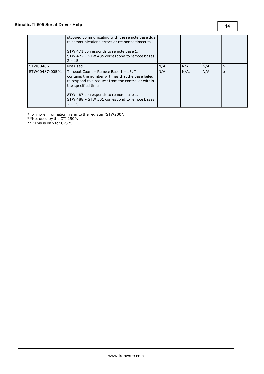stopped communicating with the remote base due to communications errors or response timeouts. STW 471 corresponds to remote base 1. STW 472 – STW 485 correspond to remote bases  $2 - 15$ . STW00486  $\big|$  Not used.  $\big|$  N/A.  $\big|$  N/A.  $\big|$  N/A.  $\big|$  N/A.  $\big|$  x STW00487-00501 Timeout Count – Remote Base 1 – 15. This contains the number of times that the base failed to respond to a request from the controller within the specified time. STW 487 corresponds to remote base 1. STW 488 – STW 501 correspond to remote bases  $2 - 15$ .  $N/A.$   $N/A.$   $N/A.$   $x$ 

**14**

\*For more information, refer to the register "STW200".

\*\*Not used by the CTI 2500.

\*\*\*This is only for CP575.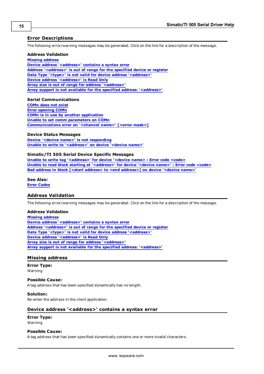#### <span id="page-14-0"></span>**Error Descriptions**

The following error/warning messages may be generated. Click on the link for a description of the message.

#### **Address Validation**

**[Missing](#page-14-2) [address](#page-14-2) [Device](#page-14-3) [address](#page-14-3) ['<address>'](#page-14-3) [contains](#page-14-3) [a](#page-14-3) [syntax](#page-14-3) [error](#page-14-3) [Address](#page-15-0) ['<address>'](#page-15-0) [is](#page-15-0) [out](#page-15-0) [of](#page-15-0) [range](#page-15-0) [for](#page-15-0) [the](#page-15-0) [specified](#page-15-0) [device](#page-15-0) [or](#page-15-0) [register](#page-15-0) [Data](#page-15-1) [Type](#page-15-1) ['<type>'](#page-15-1) [is](#page-15-1) [not](#page-15-1) [valid](#page-15-1) [for](#page-15-1) [device](#page-15-1) [address](#page-15-1) ['<address>'](#page-15-1) [Device](#page-15-2) [address](#page-15-2) ['<address>'](#page-15-2) [is](#page-15-2) [Read](#page-15-2) [Only](#page-15-2) [Array](#page-15-3) [size](#page-15-3) [is](#page-15-3) [out](#page-15-3) [of](#page-15-3) [range](#page-15-3) [for](#page-15-3) [address](#page-15-3) ['<address>'](#page-15-3) [Array](#page-15-4) [support](#page-15-4) [is](#page-15-4) [not](#page-15-4) [available](#page-15-4) [for](#page-15-4) [the](#page-15-4) [specified](#page-15-4) [address:](#page-15-4) ['<address>'](#page-15-4)**

#### **Serial Communications**

**[COMn](#page-16-0) [does](#page-16-0) [not](#page-16-0) [exist](#page-16-0) [Error](#page-16-1) [opening](#page-16-1) [COMn](#page-16-1) [COMn](#page-16-2) [is](#page-16-2) [in](#page-16-2) [use](#page-16-2) [by](#page-16-2) [another](#page-16-2) [application](#page-16-2) [Unable](#page-16-3) [to](#page-16-3) [set](#page-16-3) [comm](#page-16-3) [parameters](#page-16-3) [on](#page-16-3) [COMn](#page-16-3) [Communications](#page-16-4) [error](#page-16-4) [on](#page-16-4) ['<channel](#page-16-4) [name>'](#page-16-4) [\[<error](#page-16-4) [mask>\]](#page-16-4)**

#### **Device Status Messages**

**[Device](#page-17-1) ['<device](#page-17-1) [name>'](#page-17-1) [is](#page-17-1) [not](#page-17-1) [responding](#page-17-1) [Unable](#page-17-2) [to](#page-17-2) [write](#page-17-2) [to](#page-17-2) ['<address>'](#page-17-2) [on](#page-17-2) [device](#page-17-2) ['<device](#page-17-2) [name>'](#page-17-2)**

#### **Simatic/TI 505 Serial Device Specific Messages**

**[Unable](#page-17-4) [to](#page-17-4) [write](#page-17-4) [tag](#page-17-4) ['<address>'](#page-17-4) [for](#page-17-4) [device](#page-17-4) ['<device](#page-17-4) [name>](#page-17-4) [:](#page-17-4) [Error](#page-17-4) [code](#page-17-4) [<code>](#page-17-4) [Unable](#page-18-0) [to](#page-18-0) [read](#page-18-0) [block](#page-18-0) [starting](#page-18-0) [at](#page-18-0) ['<address>'](#page-18-0) [for](#page-18-0) [device](#page-18-0) ['<device](#page-18-0) [name>'](#page-18-0) [:](#page-18-0) [Error](#page-18-0) [code](#page-18-0) [<code>](#page-18-0) [Bad](#page-18-1) [address](#page-18-1) [in](#page-18-1) [block](#page-18-1) [\[<start](#page-18-1) [address>](#page-18-1) [to](#page-18-1) [<end](#page-18-1) [address>\]](#page-18-1) [on](#page-18-1) [device](#page-18-1) ['<device](#page-18-1) [name>'](#page-18-1)**

**See Also: [Error](#page-18-2) [Codes](#page-18-2)**

#### <span id="page-14-1"></span>**Address Validation**

The following error/warning messages may be generated. Click on the link for a description of the message.

#### **Address Validation**

**[Missing](#page-14-2) [address](#page-14-2) [Device](#page-14-3) [address](#page-14-3) ['<address>'](#page-14-3) [contains](#page-14-3) [a](#page-14-3) [syntax](#page-14-3) [error](#page-14-3) [Address](#page-15-0) ['<address>'](#page-15-0) [is](#page-15-0) [out](#page-15-0) [of](#page-15-0) [range](#page-15-0) [for](#page-15-0) [the](#page-15-0) [specified](#page-15-0) [device](#page-15-0) [or](#page-15-0) [register](#page-15-0) [Data](#page-15-1) [Type](#page-15-1) ['<type>'](#page-15-1) [is](#page-15-1) [not](#page-15-1) [valid](#page-15-1) [for](#page-15-1) [device](#page-15-1) [address](#page-15-1) ['<address>'](#page-15-1) [Device](#page-15-2) [address](#page-15-2) ['<address>'](#page-15-2) [is](#page-15-2) [Read](#page-15-2) [Only](#page-15-2) [Array](#page-15-3) [size](#page-15-3) [is](#page-15-3) [out](#page-15-3) [of](#page-15-3) [range](#page-15-3) [for](#page-15-3) [address](#page-15-3) ['<address>'](#page-15-3) [Array](#page-15-4) [support](#page-15-4) [is](#page-15-4) [not](#page-15-4) [available](#page-15-4) [for](#page-15-4) [the](#page-15-4) [specified](#page-15-4) [address:](#page-15-4) ['<address>'](#page-15-4)**

#### <span id="page-14-2"></span>**Missing address**

**Error Type:** Warning

#### **Possible Cause:**

A tag address that has been specified dynamically has no length.

#### **Solution:**

<span id="page-14-3"></span>Re-enter the address in the client application.

#### Device address '<address>' contains a syntax error

#### **Error Type:**

Warning

#### **Possible Cause:**

A tag address that has been specified dynamically contains one or more invalid characters.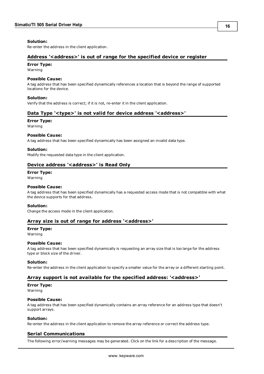#### **Solution:**

<span id="page-15-0"></span>Re-enter the address in the client application.

#### **Address '<address>' is out of range for the specified device or register**

#### **Error Type:**

Warning

#### **Possible Cause:**

A tag address that has been specified dynamically references a location that is beyond the range of supported locations for the device.

#### **Solution:**

<span id="page-15-1"></span>Verify that the address is correct; if it is not, re-enter it in the client application.

#### Data Type '<type>' is not valid for device address '<address>'

#### **Error Type:**

Warning

#### **Possible Cause:**

A tag address that has been specified dynamically has been assigned an invalid data type.

#### **Solution:**

<span id="page-15-2"></span>Modify the requested data type in the client application.

#### Device address '<address>' is Read Only

#### **Error Type:**

Warning

#### **Possible Cause:**

A tag address that has been specified dynamically has a requested access mode that is not compatible with what the device supports for that address.

#### **Solution:**

<span id="page-15-3"></span>Change the access mode in the client application.

#### **Array size is out of range for address '<address>'**

#### **Error Type:**

Warning

#### **Possible Cause:**

A tag address that has been specified dynamically is requesting an array size that is too large for the address type or block size of the driver.

#### **Solution:**

<span id="page-15-4"></span>Re-enter the address in the client application to specify a smaller value for the array or a different starting point.

#### **Array support is not available for the specified address: '<address>'**

### **Error Type:**

Warning

#### **Possible Cause:**

A tag address that has been specified dynamically contains an array reference for an address type that doesn't support arrays.

#### **Solution:**

<span id="page-15-5"></span>Re-enter the address in the client application to remove the array reference or correct the address type.

#### **Serial Communications**

The following error/warning messages may be generated. Click on the link for a description of the message.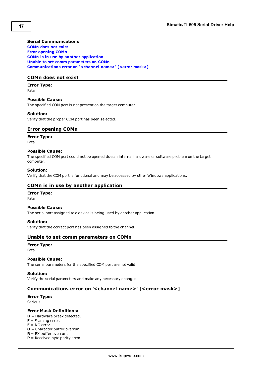#### **Serial Communications**

**[COMn](#page-16-0) [does](#page-16-0) [not](#page-16-0) [exist](#page-16-0) [Error](#page-16-1) [opening](#page-16-1) [COMn](#page-16-1) [COMn](#page-16-2) [is](#page-16-2) [in](#page-16-2) [use](#page-16-2) [by](#page-16-2) [another](#page-16-2) [application](#page-16-2) [Unable](#page-16-3) [to](#page-16-3) [set](#page-16-3) [comm](#page-16-3) [parameters](#page-16-3) [on](#page-16-3) [COMn](#page-16-3) [Communications](#page-16-4) [error](#page-16-4) [on](#page-16-4) ['<channel](#page-16-4) [name>'](#page-16-4) [\[<error](#page-16-4) [mask>\]](#page-16-4)**

#### <span id="page-16-0"></span>**COMn does not exist**

**Error Type:** Fatal

#### **Possible Cause:**

The specified COM port is not present on the target computer.

#### **Solution:**

<span id="page-16-1"></span>Verify that the proper COM port has been selected.

#### **Error opening COMn**

#### **Error Type:**

Fatal

#### **Possible Cause:**

The specified COM port could not be opened due an internal hardware or software problem on the target computer.

#### **Solution:**

<span id="page-16-2"></span>Verify that the COM port is functional and may be accessed by other Windows applications.

#### **COMn is in use by another application**

### **Error Type:**

Fatal

#### **Possible Cause:**

The serial port assigned to a device is being used by another application.

#### **Solution:**

<span id="page-16-3"></span>Verify that the correct port has been assigned to the channel.

#### **Unable to set comm parameters on COMn**

#### **Error Type:** Fatal

#### **Possible Cause:**

The serial parameters for the specified COM port are not valid.

#### **Solution:**

<span id="page-16-4"></span>Verify the serial parameters and make any necessary changes.

#### **Communications error on '<channel name>' [<error mask>]**

#### **Error Type:**

Serious

#### **Error Mask Definitions:**

- <span id="page-16-5"></span>**B** = Hardware break detected.
- **F** = Framing error.
- <span id="page-16-6"></span> $E = I/O$  error.
- **O** = Character buffer overrun.
- <span id="page-16-7"></span>**R** = RX buffer overrun.
- **P** = Received byte parity error.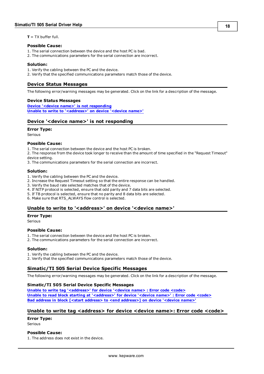$T = TX$  buffer full.

#### **Possible Cause:**

- 1. The serial connection between the device and the host PC is bad.
- 2. The communications parameters for the serial connection are incorrect.

#### **Solution:**

- 1. Verify the cabling between the PC and the device.
- <span id="page-17-0"></span>2. Verify that the specified communications parameters match those of the device.

#### **Device Status Messages**

The following error/warning messages may be generated. Click on the link for a description of the message.

#### **Device Status Messages**

**[Device](#page-17-1) ['<device](#page-17-1) [name>'](#page-17-1) [is](#page-17-1) [not](#page-17-1) [responding](#page-17-1) [Unable](#page-17-2) [to](#page-17-2) [write](#page-17-2) [to](#page-17-2) ['<address>'](#page-17-2) [on](#page-17-2) [device](#page-17-2) ['<device](#page-17-2) [name>'](#page-17-2)**

#### <span id="page-17-1"></span>**Device '<device name>' is not responding**

#### **Error Type:**

Serious

#### **Possible Cause:**

1. The serial connection between the device and the host PC is broken.

- 2. The response from the device took longer to receive than the amount of time specified in the "Request Timeout" device setting.
- 3. The communications parameters for the serial connection are incorrect.

#### **Solution:**

- 1. Verify the cabling between the PC and the device.
- 2. Increase the Request Timeout setting so that the entire response can be handled.
- 3. Verify the baud rate selected matches that of the device.
- 4. If NITP protocol is selected, ensure that odd parity and 7 data bits are selected.
- 5. If TB protocol is selected, ensure that no parity and 8 data bits are selected.
- <span id="page-17-2"></span>6. Make sure that RTS\_ALWAYS flow control is selected.

#### Unable to write to '<address>' on device '<device name>'

#### **Error Type:**

Serious

#### **Possible Cause:**

- 1. The serial connection between the device and the host PC is broken.
- 2. The communications parameters for the serial connection are incorrect.

#### **Solution:**

- 1. Verify the cabling between the PC and the device.
- <span id="page-17-3"></span>2. Verify that the specified communications parameters match those of the device.

#### **Simatic/TI 505 Serial Device Specific Messages**

The following error/warning messages may be generated. Click on the link for a description of the message.

#### **Simatic/TI 505 Serial Device Specific Messages**

**[Unable](#page-17-4) [to](#page-17-4) [write](#page-17-4) [tag](#page-17-4) ['<address>'](#page-17-4) [for](#page-17-4) [device](#page-17-4) ['<device](#page-17-4) [name>](#page-17-4) [:](#page-17-4) [Error](#page-17-4) [code](#page-17-4) [<code>](#page-17-4) [Unable](#page-18-0) [to](#page-18-0) [read](#page-18-0) [block](#page-18-0) [starting](#page-18-0) [at](#page-18-0) ['<address>'](#page-18-0) [for](#page-18-0) [device](#page-18-0) ['<device](#page-18-0) [name>'](#page-18-0) [:](#page-18-0) [Error](#page-18-0) [code](#page-18-0) [<code>](#page-18-0) [Bad](#page-18-1) [address](#page-18-1) [in](#page-18-1) [block](#page-18-1) [\[<start](#page-18-1) [address>](#page-18-1) [to](#page-18-1) [<end](#page-18-1) [address>\]](#page-18-1) [on](#page-18-1) [device](#page-18-1) ['<device](#page-18-1) [name>'](#page-18-1)**

#### <span id="page-17-4"></span>Unable to write tag <address> for device <device name>: Error code <code>

**Error Type:** Serious

#### **Possible Cause:**

1. The address does not exist in the device.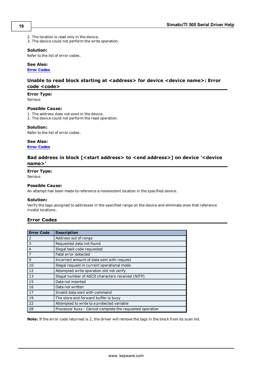- 2. The location is read only in the device.
- 3. The device could not perform the write operation.

#### **Solution:**

Refer to the list of error codes.

#### **See Also:**

<span id="page-18-0"></span>**[Error](#page-18-2) [Codes](#page-18-2)**

#### Unable to read block starting at <address> for device <device name>: Error **code <code>**

#### **Error Type:**

Serious

#### **Possible Cause:**

- 1. The address does not exist in the device.
- 2. The device could not perform the read operation.

#### **Solution:**

Refer to the list of error codes.

#### **See Also:**

<span id="page-18-1"></span>**[Error](#page-18-2) [Codes](#page-18-2)**

#### **Bad address in block [<start address> to <end address>] on device '<device name>'**

**Error Type:**

Serious

#### **Possible Cause:**

An attempt has been made to reference a nonexistent location in the specified device.

#### **Solution:**

Verify the tags assigned to addresses in the specified range on the device and eliminate ones that reference invalid locations.

#### <span id="page-18-2"></span>**Error Codes**

| <b>Error Code</b> | <b>Description</b>                                       |
|-------------------|----------------------------------------------------------|
| 2                 | Address out of range                                     |
| 3                 | Requested data not found                                 |
| $\overline{4}$    | Illegal task code requested                              |
| $\overline{7}$    | Fatal error detected                                     |
| 9                 | Incorrect amount of data sent with request               |
| 10                | Illegal request in current operational mode              |
| 12                | Attempted write operation did not verify                 |
| 13                | Illegal number of ASCII characters received (NITP)       |
| 15                | Data not inserted                                        |
| 16                | Data not written                                         |
| 17                | Invalid data sent with command                           |
| 19                | The store and forward buffer is busy                     |
| 22                | Attempted to write to a protected variable               |
| 28                | Processor busy - Cannot complete the requested operation |

**Note:** If the error code returned is 2, the driver will remove the tags in the block from its scan list.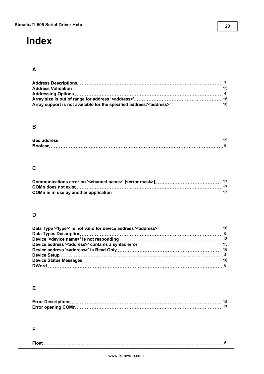# <span id="page-19-0"></span>**Index**

### **A**

### **B**

### **C**

### **D**

### **E**

### **F**

**Float [6](#page-5-3)**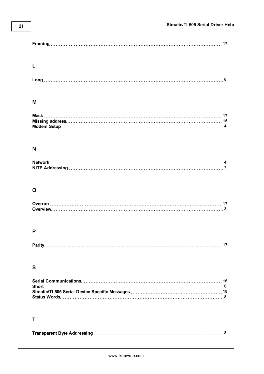|--|

### **L**

### **M**

### **N**

### **O**

| <b>Overrun</b> |  |
|----------------|--|
|                |  |

### **P**

## **S**

### **T**

|--|